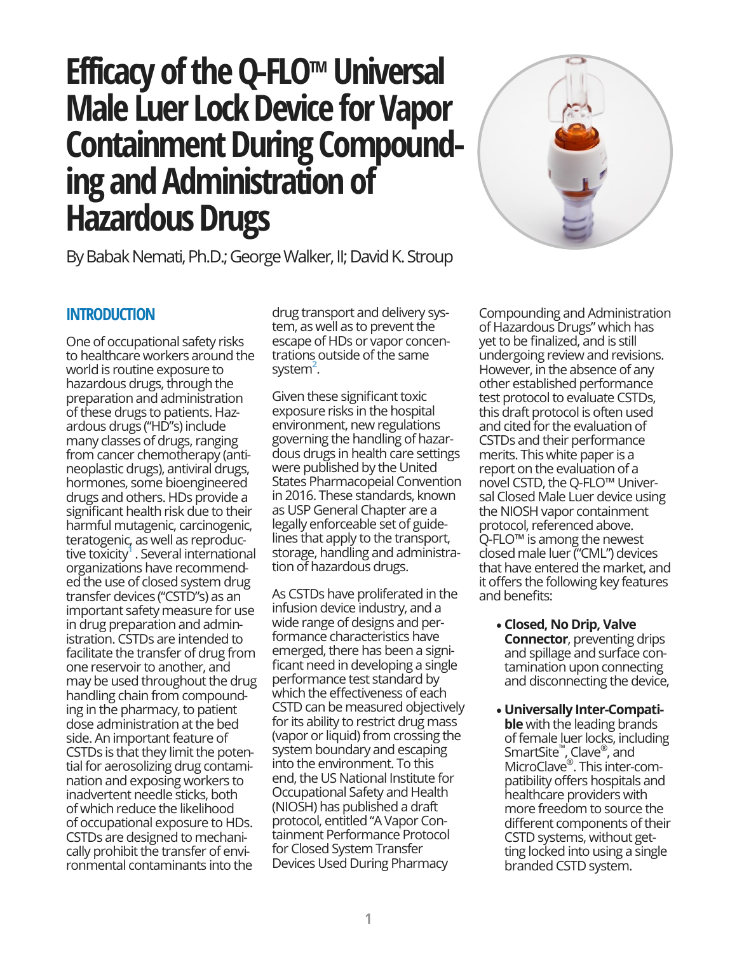# **Efficacy of the Q-FLOTM Universal Male Luer Lock Device for Vapor Containment During Compounding and Administration of Hazardous Drugs**



By Babak Nemati, Ph.D.; George Walker, II; David K. Stroup

## **INTRODUCTION**

One of occupational safety risks to healthcare workers around the world is routine exposure to hazardous drugs, through the preparation and administration of these drugs to patients. Hazardous drugs ("HD"s) include many classes of drugs, ranging from cancer chemotherapy (antineoplastic drugs), antiviral drugs, hormones, some bioengineered drugs and others. HDs provide a significant health risk due to their harmful mutagenic, carcinogenic, teratogenic, as well as reproductive toxicity**<sup>1</sup>** . Several international organizations have recommended the use of closed system drug transfer devices ("CSTD"s) as an important safety measure for use in drug preparation and administration. CSTDs are intended to facilitate the transfer of drug from one reservoir to another, and may be used throughout the drug handling chain from compounding in the pharmacy, to patient dose administration at the bed side. An important feature of CSTDs is that they limit the potential for aerosolizing drug contamination and exposing workers to inadvertent needle sticks, both of which reduce the likelihood of occupational exposure to HDs. CSTDs are designed to mechanically prohibit the transfer of environmental contaminants into the

drug transport and delivery system, as well as to prevent the escape of HDs or vapor concentrations outside of the same system<sup>2</sup>.

Given these significant toxic exposure risks in the hospital environment, new regulations governing the handling of hazardous drugs in health care settings were published by the United States Pharmacopeial Convention in 2016. These standards, known as USP General Chapter are a legally enforceable set of guidelines that apply to the transport, storage, handling and administration of hazardous drugs.

As CSTDs have proliferated in the infusion device industry, and a wide range of designs and performance characteristics have emerged, there has been a significant need in developing a single performance test standard by which the effectiveness of each CSTD can be measured objectively for its ability to restrict drug mass (vapor or liquid) from crossing the system boundary and escaping into the environment. To this end, the US National Institute for Occupational Safety and Health (NIOSH) has published a draft protocol, entitled "A Vapor Containment Performance Protocol for Closed System Transfer Devices Used During Pharmacy

Compounding and Administration of Hazardous Drugs" which has yet to be finalized, and is still undergoing review and revisions. However, in the absence of any other established performance test protocol to evaluate CSTDs, this draft protocol is often used and cited for the evaluation of CSTDs and their performance merits. This white paper is a report on the evaluation of a novel CSTD, the Q-FLO™ Universal Closed Male Luer device using the NIOSH vapor containment protocol, referenced above. Q-FLO™ is among the newest closed male luer ("CML") devices that have entered the market, and it offers the following key features and benefits:

- **Closed, No Drip, Valve Connector**, preventing drips and spillage and surface contamination upon connecting and disconnecting the device,
- **Universally Inter-Compatible** with the leading brands of female luer locks, including SmartSite™ , Clave® , and MicroClave®. This inter-compatibility offers hospitals and healthcare providers with more freedom to source the different components of their CSTD systems, without getting locked into using a single branded CSTD system.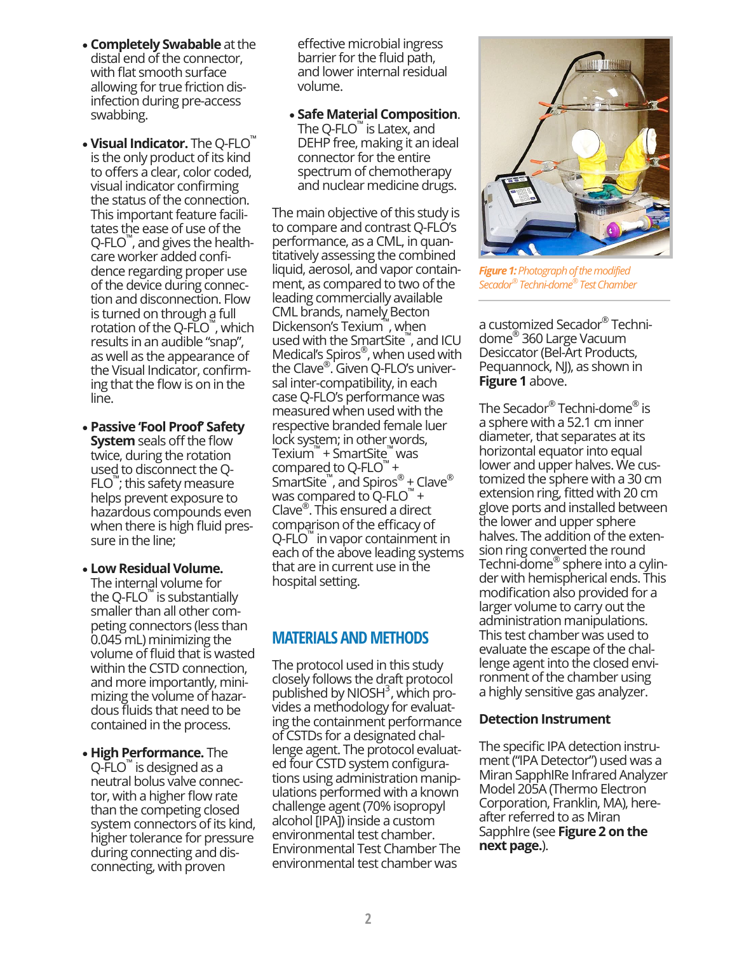- **Completely Swabable** at the distal end of the connector, with flat smooth surface allowing for true friction disinfection during pre-access swabbing.
- **Visual Indicator.** The Q-FLO™ is the only product of its kind to offers a clear, color coded, visual indicator confirming the status of the connection. This important feature facilitates the ease of use of the Q-FLO<sup>™</sup>, and gives the healthcare worker added confidence regarding proper use of the device during connection and disconnection. Flow is turned on through a full rotation of the Q-FLO™, which results in an audible "snap", as well as the appearance of the Visual Indicator, confirming that the flow is on in the line.
- **Passive 'Fool Proof' Safety System** seals off the flow twice, during the rotation used to disconnect the Q-FLO™ ; this safety measure helps prevent exposure to hazardous compounds even when there is high fluid pressure in the line;
- **Low Residual Volume.**  The internal volume for the Q-FLO™ is substantially smaller than all other competing connectors (less than 0.045 mL) minimizing the volume of fluid that is wasted within the CSTD connection, and more importantly, minimizing the volume of hazardous fluids that need to be contained in the process.
- **High Performance.** The Q-FLO<sup>™</sup> is designed as a neutral bolus valve connector, with a higher flow rate than the competing closed system connectors of its kind, higher tolerance for pressure during connecting and disconnecting, with proven

effective microbial ingress barrier for the fluid path, and lower internal residual volume.

• **Safe Material Composition**. The Q-FLO™ is Latex, and DEHP free, making it an ideal connector for the entire spectrum of chemotherapy and nuclear medicine drugs.

The main objective of this study is to compare and contrast Q-FLO's performance, as a CML, in quantitatively assessing the combined liquid, aerosol, and vapor containment, as compared to two of the leading commercially available CML brands, namely Becton Dickenson's Texium™ , when used with the SmartSite™ , and ICU Medical's Spiros® , when used with the Clave® . Given Q-FLO's universal inter-compatibility, in each case Q-FLO's performance was measured when used with the respective branded female luer lock system; in other words, Texium™ + SmartSite™ was compared to Q-FLO $^{\prime\prime}$  + SmartSite™, and Spiros® + Clave® was compared to  $Q$ -FLO<sup>™</sup> + Clave® . This ensured a direct comparison of the efficacy of Q-FLO<sup>™</sup> in vapor containment in each of the above leading systems that are in current use in the hospital setting.

## **MATERIALS AND METHODS**

The protocol used in this study closely follows the draft protocol published by NIOSH<sup>3</sup>, which provides a methodology for evaluating the containment performance of CSTDs for a designated challenge agent. The protocol evaluated four CSTD system configurations using administration manipulations performed with a known challenge agent (70% isopropyl alcohol [IPA]) inside a custom environmental test chamber. Environmental Test Chamber The environmental test chamber was



*Figure 1: Photograph of the modified Secador® Techni-dome® Test Chamber*

a customized Secador® Technidome® 360 Large Vacuum Desiccator (Bel-Art Products, Pequannock, NJ), as shown in **Figure 1** above.

The Secador® Techni-dome® is a sphere with a 52.1 cm inner diameter, that separates at its horizontal equator into equal lower and upper halves. We customized the sphere with a 30 cm extension ring, fitted with 20 cm glove ports and installed between the lower and upper sphere halves. The addition of the extension ring converted the round Techni-dome® sphere into a cylinder with hemispherical ends. This modification also provided for a larger volume to carry out the administration manipulations. This test chamber was used to evaluate the escape of the challenge agent into the closed environment of the chamber using a highly sensitive gas analyzer.

#### **Detection Instrument**

The specific IPA detection instrument ("IPA Detector") used was a Miran SapphIRe Infrared Analyzer Model 205A (Thermo Electron Corporation, Franklin, MA), hereafter referred to as Miran SapphIre (see **Figure 2 on the next page.**).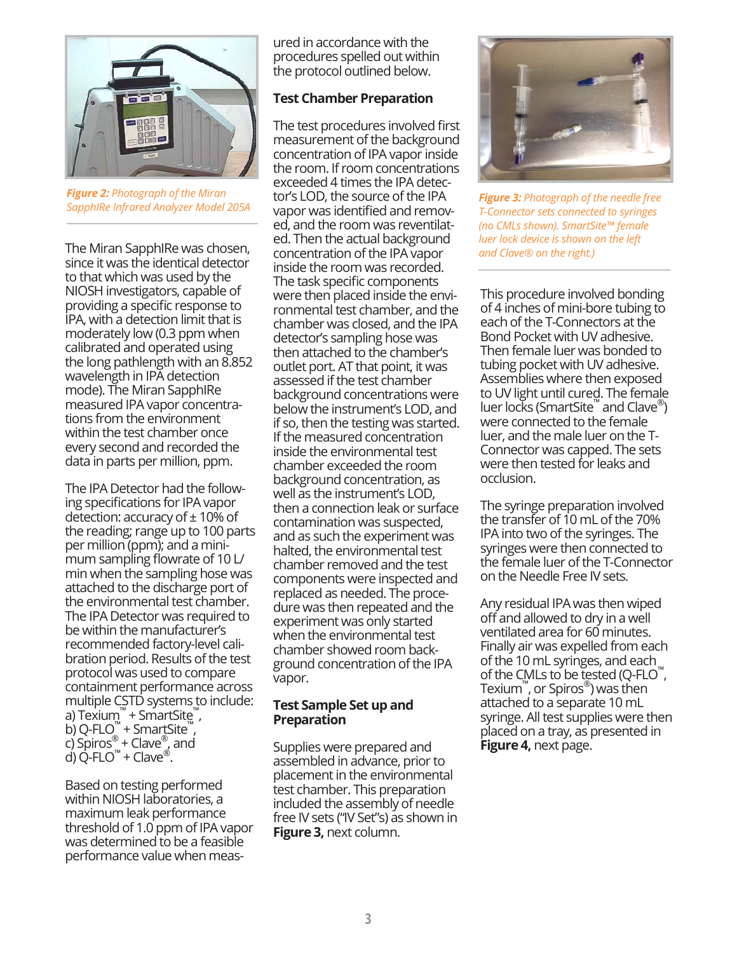

*Figure 2: Photograph of the Miran SapphIRe Infrared Analyzer Model 205A*

The Miran SapphIRe was chosen, since it was the identical detector to that which was used by the NIOSH investigators, capable of providing a specific response to IPA, with a detection limit that is moderately low (0.3 ppm when calibrated and operated using the long pathlength with an 8.852 wavelength in IPA detection mode). The Miran SapphIRe measured IPA vapor concentrations from the environment within the test chamber once every second and recorded the data in parts per million, ppm.

The IPA Detector had the following specifications for IPA vapor detection: accuracy of  $\pm$  10% of the reading; range up to 100 parts per million (ppm); and a minimum sampling flowrate of 10 L/ min when the sampling hose was attached to the discharge port of the environmental test chamber. The IPA Detector was required to be within the manufacturer's recommended factory-level calibration period. Results of the test protocol was used to compare containment performance across multiple CSTD systems to include: a) Texium™ + SmartSite™, b) Q-FLO $^{\mathbb{M}}$  + Smart Site $^{\mathbb{M}}$ , c) Spiros<sup>®</sup> + Clave<sup>®</sup>, and d) Q-FLO<sup>™</sup> + Clave<sup>®</sup>.

Based on testing performed within NIOSH laboratories, a maximum leak performance threshold of 1.0 ppm of IPA vapor was determined to be a feasible performance value when measured in accordance with the procedures spelled out within the protocol outlined below.

### **Test Chamber Preparation**

The test procedures involved first measurement of the background concentration of IPA vapor inside the room. If room concentrations exceeded 4 times the IPA detector's LOD, the source of the IPA vapor was identified and removed, and the room was reventilated. Then the actual background concentration of the IPA vapor inside the room was recorded. The task specific components were then placed inside the environmental test chamber, and the chamber was closed, and the IPA detector's sampling hose was then attached to the chamber's outlet port. AT that point, it was assessed if the test chamber background concentrations were below the instrument's LOD, and if so, then the testing was started. If the measured concentration inside the environmental test chamber exceeded the room background concentration, as well as the instrument's LOD, then a connection leak or surface contamination was suspected, and as such the experiment was halted, the environmental test chamber removed and the test components were inspected and replaced as needed. The procedure was then repeated and the experiment was only started when the environmental test chamber showed room background concentration of the IPA vapor.

#### **Test Sample Set up and Preparation**

Supplies were prepared and assembled in advance, prior to placement in the environmental test chamber. This preparation included the assembly of needle free IV sets ("IV Set"s) as shown in **Figure 3,** next column.



*Figure 3: Photograph of the needle free T-Connector sets connected to syringes (no CMLs shown). SmartSite™ female luer lock device is shown on the left and Clave® on the right.)*

This procedure involved bonding of 4 inches of mini-bore tubing to each of the T-Connectors at the Bond Pocket with UV adhesive. Then female luer was bonded to tubing pocket with UV adhesive. Assemblies where then exposed to UV light until cured. The female luer locks (SmartSite™ and Clave®) were connected to the female luer, and the male luer on the T-Connector was capped. The sets were then tested for leaks and occlusion.

The syringe preparation involved the transfer of 10 mL of the 70% IPA into two of the syringes. The syringes were then connected to the female luer of the T-Connector on the Needle Free IV sets.

Any residual IPA was then wiped off and allowed to dry in a well ventilated area for 60 minutes. Finally air was expelled from each of the 10 mL syringes, and each of the CMLs to be tested (Q-FLO™ , Texium™ , or Spiros® ) was then attached to a separate 10 mL syringe. All test supplies were then placed on a tray, as presented in **Figure 4,** next page.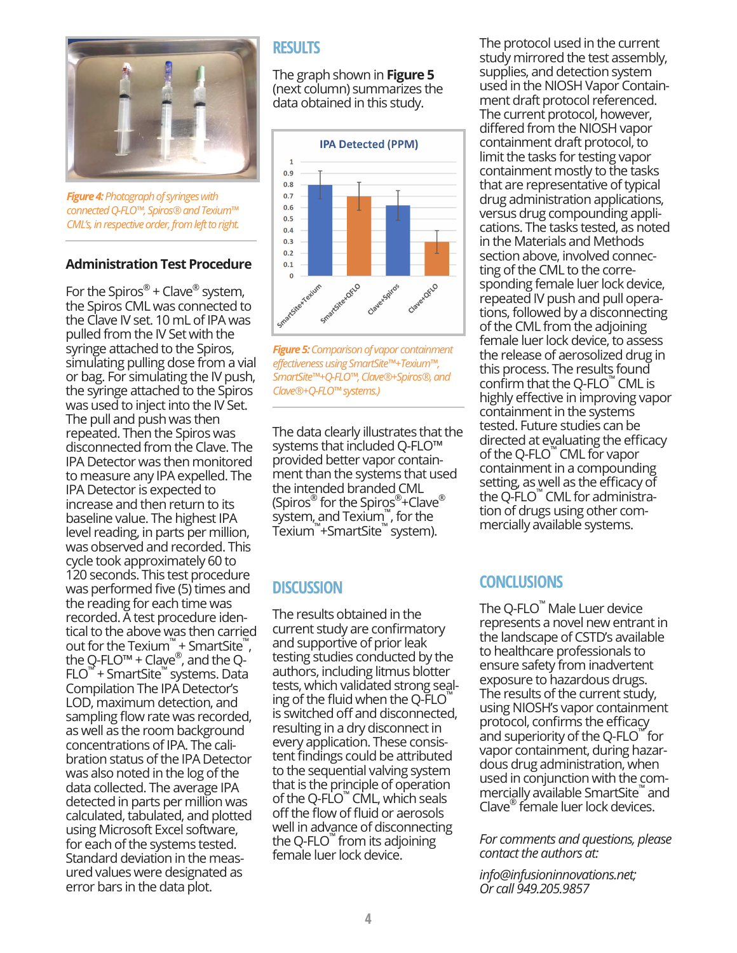

*Figure 4: Photograph of syringes with connected Q-FLO™, Spiros® and Texium™ CML's, in respective order, from left to right.*

#### **Administration Test Procedure**

For the Spiros<sup>®</sup> + Clave<sup>®</sup> system, the Spiros CML was connected to the Clave IV set. 10 mL of IPA was pulled from the IV Set with the syringe attached to the Spiros, simulating pulling dose from a vial or bag. For simulating the IV push, the syringe attached to the Spiros was used to inject into the IV Set. The pull and push was then repeated. Then the Spiros was disconnected from the Clave. The IPA Detector was then monitored to measure any IPA expelled. The IPA Detector is expected to increase and then return to its baseline value. The highest IPA level reading, in parts per million, was observed and recorded. This cycle took approximately 60 to 120 seconds. This test procedure was performed five (5) times and the reading for each time was recorded. A test procedure identical to the above was then carried out for the Texium<sup>™</sup> + SmartSite<sup>™</sup>, the Q-FLO<sup>m</sup> + Clave®, and the Q-FLO™ + SmartSite™ systems. Data Compilation The IPA Detector's LOD, maximum detection, and sampling flow rate was recorded, as well as the room background concentrations of IPA. The calibration status of the IPA Detector was also noted in the log of the data collected. The average IPA detected in parts per million was calculated, tabulated, and plotted using Microsoft Excel software, for each of the systems tested. Standard deviation in the measured values were designated as error bars in the data plot.

## **RESULTS**

The graph shown in **Figure 5**  (next column) summarizes the data obtained in this study.



*Figure 5: Comparison of vapor containment effectiveness using SmartSite™+Texium™, SmartSite™+Q-FLO™, Clave®+Spiros®, and Clave®+Q-FLO™ systems.)*

The data clearly illustrates that the systems that included Q-FLO™ provided better vapor containment than the systems that used the intended branded CML (Spiros® for the Spiros®+Clave® system, and Texium™ , for the Texium™ +SmartSite™ system).

## **DISCUSSION**

The results obtained in the current study are confirmatory and supportive of prior leak testing studies conducted by the authors, including litmus blotter tests, which validated strong sealing of the fluid when the Q-FLO is switched off and disconnected, resulting in a dry disconnect in every application. These consistent findings could be attributed to the sequential valving system that is the principle of operation of the Q-FLO™ CML, which seals off the flow of fluid or aerosols well in advance of disconnecting the Q-FLO™ from its adjoining female luer lock device.

The protocol used in the current study mirrored the test assembly, supplies, and detection system used in the NIOSH Vapor Containment draft protocol referenced. The current protocol, however, differed from the NIOSH vapor containment draft protocol, to limit the tasks for testing vapor containment mostly to the tasks that are representative of typical drug administration applications, versus drug compounding applications. The tasks tested, as noted in the Materials and Methods section above, involved connecting of the CML to the corresponding female luer lock device, repeated IV push and pull operations, followed by a disconnecting of the CML from the adjoining female luer lock device, to assess the release of aerosolized drug in this process. The results found confirm that the Q-FLO™ CML is highly effective in improving vapor containment in the systems tested. Future studies can be directed at evaluating the efficacy of the Q-FLO™ CML for vapor containment in a compounding setting, as well as the efficacy of the Q-FLO™ CML for administration of drugs using other commercially available systems.

## **CONCLUSIONS**

The Q-FLO™ Male Luer device represents a novel new entrant in the landscape of CSTD's available to healthcare professionals to ensure safety from inadvertent exposure to hazardous drugs. The results of the current study, using NIOSH's vapor containment protocol, confirms the efficacy and superiority of the Q-FLO™ for vapor containment, during hazardous drug administration, when used in conjunction with the commercially available SmartSite™ and Clave® female luer lock devices.

*For comments and questions, please contact the authors at:*

*info@infusioninnovations.net; Or call 949.205.9857*